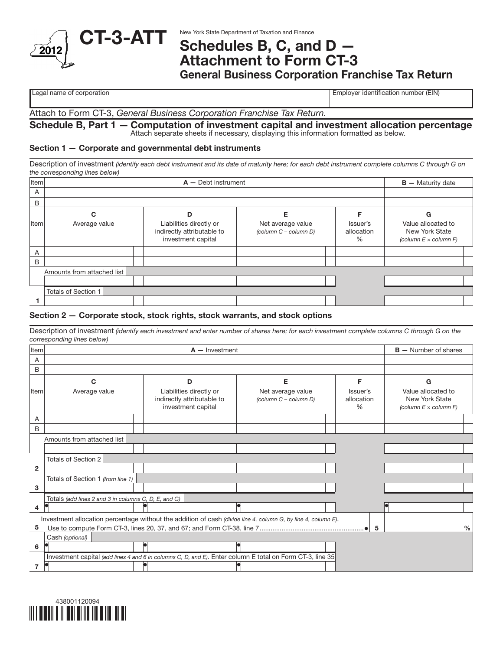

# Schedules B, C, and D — Attachment to Form CT-3

General Business Corporation Franchise Tax Return

Legal name of corporation extensive proportion to the corporation of Employer identification number (EIN)

Attach to Form CT-3, *General Business Corporation Franchise Tax Return.*

#### Schedule B, Part 1 — Computation of investment capital and investment allocation percentage Attach separate sheets if necessary, displaying this information formatted as below.

## Section 1 — Corporate and governmental debt instruments

Description of investment *(identify each debt instrument and its date of maturity here; for each debt instrument complete columns C through G on the corresponding lines below)*

| Item                    |                            | $B -$ Maturity date                                                         |                                            |                             |                                                                      |
|-------------------------|----------------------------|-----------------------------------------------------------------------------|--------------------------------------------|-----------------------------|----------------------------------------------------------------------|
| $\overline{A}$          |                            |                                                                             |                                            |                             |                                                                      |
| B                       |                            |                                                                             |                                            |                             |                                                                      |
|                         | C                          | D                                                                           | Е                                          |                             | G                                                                    |
| Item                    | Average value              | Liabilities directly or<br>indirectly attributable to<br>investment capital | Net average value<br>(column C - column D) | Issuer's<br>allocation<br>% | Value allocated to<br>New York State<br>(column $E \times$ column F) |
| $\overline{\mathsf{A}}$ |                            |                                                                             |                                            |                             |                                                                      |
| B                       |                            |                                                                             |                                            |                             |                                                                      |
|                         | Amounts from attached list |                                                                             |                                            |                             |                                                                      |
|                         |                            |                                                                             |                                            |                             |                                                                      |
|                         | Totals of Section 1        |                                                                             |                                            |                             |                                                                      |
|                         |                            |                                                                             |                                            |                             |                                                                      |

#### Section 2 — Corporate stock, stock rights, stock warrants, and stock options

Description of investment *(identify each investment and enter number of shares here; for each investment complete columns C through G on the corresponding lines below)*

| Item  |                                                                                                           | $B -$ Number of shares                                                      |                                                                                                               |                                |                                                                      |
|-------|-----------------------------------------------------------------------------------------------------------|-----------------------------------------------------------------------------|---------------------------------------------------------------------------------------------------------------|--------------------------------|----------------------------------------------------------------------|
| A     |                                                                                                           |                                                                             |                                                                                                               |                                |                                                                      |
| B     |                                                                                                           |                                                                             |                                                                                                               |                                |                                                                      |
|       | С                                                                                                         | D                                                                           | Е                                                                                                             | F                              | G                                                                    |
| lltem | Average value                                                                                             | Liabilities directly or<br>indirectly attributable to<br>investment capital | Net average value<br>(column C - column D)                                                                    | Issuer's<br>allocation<br>$\%$ | Value allocated to<br>New York State<br>(column $E \times$ column F) |
| A     |                                                                                                           |                                                                             |                                                                                                               |                                |                                                                      |
| B     |                                                                                                           |                                                                             |                                                                                                               |                                |                                                                      |
|       | Amounts from attached list                                                                                |                                                                             |                                                                                                               |                                |                                                                      |
|       |                                                                                                           |                                                                             |                                                                                                               |                                |                                                                      |
|       | Totals of Section 2                                                                                       |                                                                             |                                                                                                               |                                |                                                                      |
| 2     |                                                                                                           |                                                                             |                                                                                                               |                                |                                                                      |
|       | Totals of Section 1 (from line 1)                                                                         |                                                                             |                                                                                                               |                                |                                                                      |
| 3     |                                                                                                           |                                                                             |                                                                                                               |                                |                                                                      |
|       | Totals (add lines 2 and 3 in columns C, D, E, and G)                                                      |                                                                             |                                                                                                               |                                |                                                                      |
| 4     |                                                                                                           |                                                                             |                                                                                                               |                                |                                                                      |
|       |                                                                                                           |                                                                             | Investment allocation percentage without the addition of cash (divide line 4, column G, by line 4, column E). |                                |                                                                      |
| 5     |                                                                                                           |                                                                             |                                                                                                               | -5                             | $\frac{0}{0}$                                                        |
|       | Cash (optional)                                                                                           |                                                                             |                                                                                                               |                                |                                                                      |
| 6     |                                                                                                           |                                                                             |                                                                                                               |                                |                                                                      |
|       | Investment capital (add lines 4 and 6 in columns C, D, and E). Enter column E total on Form CT-3, line 35 |                                                                             |                                                                                                               |                                |                                                                      |
|       |                                                                                                           |                                                                             |                                                                                                               |                                |                                                                      |

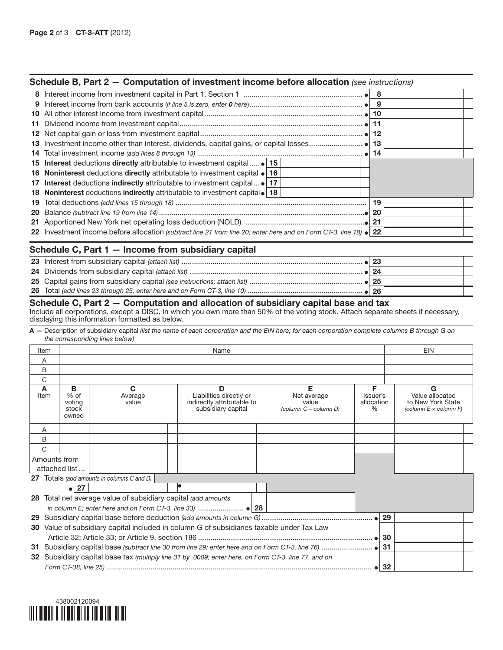#### Schedule B, Part 2 — Computation of investment income before allocation *(see instructions)*

|                                                                                                                           |  |  | - 9 |  |
|---------------------------------------------------------------------------------------------------------------------------|--|--|-----|--|
|                                                                                                                           |  |  |     |  |
|                                                                                                                           |  |  | 11  |  |
|                                                                                                                           |  |  |     |  |
|                                                                                                                           |  |  |     |  |
|                                                                                                                           |  |  |     |  |
| 15 Interest deductions directly attributable to investment capital                                                        |  |  |     |  |
| 16 Noninterest deductions directly attributable to investment capital $\bullet$ 16                                        |  |  |     |  |
| 17 Interest deductions indirectly attributable to investment capital • 17                                                 |  |  |     |  |
| 18 Noninterest deductions indirectly attributable to investment capital • 18                                              |  |  |     |  |
|                                                                                                                           |  |  | 19  |  |
|                                                                                                                           |  |  | -20 |  |
|                                                                                                                           |  |  |     |  |
| 22 Investment income before allocation (subtract line 21 from line 20; enter here and on Form CT-3, line 18) $\bullet$ 22 |  |  |     |  |
|                                                                                                                           |  |  |     |  |

# Schedule C, Part 1 — Income from subsidiary capital

## Schedule C, Part 2 — Computation and allocation of subsidiary capital base and tax

Include all corporations, except a DISC, in which you own more than 50% of the voting stock. Attach separate sheets if necessary, displaying this information formatted as below.

A — Description of subsidiary capital *(list the name of each corporation and the EIN here; for each corporation complete columns B through G on the corresponding lines below)*

| Item      | Name                                    |                                                            |                                                                                                      |                                                    |                                     | <b>EIN</b>                                                           |
|-----------|-----------------------------------------|------------------------------------------------------------|------------------------------------------------------------------------------------------------------|----------------------------------------------------|-------------------------------------|----------------------------------------------------------------------|
| A         |                                         |                                                            |                                                                                                      |                                                    |                                     |                                                                      |
| В         |                                         |                                                            |                                                                                                      |                                                    |                                     |                                                                      |
| C         |                                         |                                                            |                                                                                                      |                                                    |                                     |                                                                      |
| A<br>Item | в<br>$%$ of<br>voting<br>stock<br>owned | C<br>Average<br>value                                      | D<br>Liabilities directly or<br>indirectly attributable to<br>subsidiary capital                     | Е<br>Net average<br>value<br>(column C - column D) | F<br>Issuer's<br>allocation<br>$\%$ | Value allocated<br>to New York State<br>(column $E \times$ column F) |
| A         |                                         |                                                            |                                                                                                      |                                                    |                                     |                                                                      |
| B         |                                         |                                                            |                                                                                                      |                                                    |                                     |                                                                      |
| C         |                                         |                                                            |                                                                                                      |                                                    |                                     |                                                                      |
|           | Amounts from<br>attached list           |                                                            |                                                                                                      |                                                    |                                     |                                                                      |
|           |                                         | 27 Totals (add amounts in columns C and D)                 |                                                                                                      |                                                    |                                     |                                                                      |
|           | 27<br>ا ہ                               |                                                            |                                                                                                      |                                                    |                                     |                                                                      |
| 28        |                                         | Total net average value of subsidiary capital (add amounts |                                                                                                      |                                                    |                                     |                                                                      |
|           |                                         |                                                            |                                                                                                      |                                                    |                                     |                                                                      |
| 29        |                                         |                                                            |                                                                                                      |                                                    |                                     | 29                                                                   |
|           |                                         |                                                            | 30 Value of subsidiary capital included in column G of subsidiaries taxable under Tax Law            |                                                    |                                     |                                                                      |
|           |                                         |                                                            |                                                                                                      |                                                    |                                     | 30                                                                   |
|           |                                         |                                                            |                                                                                                      |                                                    |                                     |                                                                      |
|           |                                         |                                                            | 32 Subsidiary capital base tax (multiply line 31 by .0009; enter here, on Form CT-3, line 77, and on |                                                    |                                     |                                                                      |
|           |                                         |                                                            |                                                                                                      |                                                    | $\bullet$ 32                        |                                                                      |